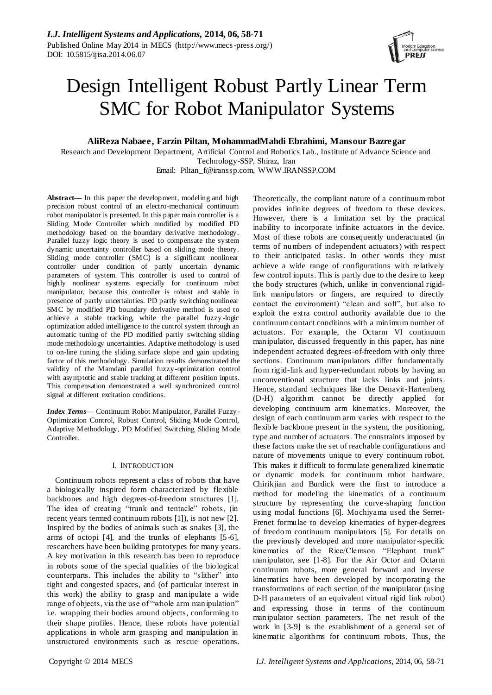

# Design Intelligent Robust Partly Linear Term SMC for Robot Manipulator Systems

## **AliReza Nabaee, Farzin Piltan, MohammadMahdi Ebrahimi, Mansour Bazregar**

Research and Development Department, Artificial Control and Robotics Lab., Institute of Advance Science and Technology-SSP, Shiraz, Iran

Email: [Piltan\\_f@iranssp.com,](mailto:Piltan_f@iranssp.com) WWW.IRANSSP.COM

**Abstract—** In this paper the development, modeling and high precision robust control of an electro-mechanical continuum robot manipulator is presented. In this paper main controller is a Sliding Mode Controller which modified by modified PD methodology based on the boundary derivative methodology. Parallel fuzzy logic theory is used to compensate the system dynamic uncertainty controller based on sliding mode theory. Sliding mode controller (SMC) is a significant nonlinear controller under condition of partly uncertain dynamic parameters of system. This controller is used to control of highly nonlinear systems especially for continuum robot manipulator, because this controller is robust and stable in presence of partly uncertainties. PD partly switching nonlinear SMC by modified PD boundary derivative method is used to achieve a stable tracking, while the parallel fuzzy -logic optimization added intelligence to the control system through an automatic tuning of the PD modified partly switching sliding mode methodology uncertainties. Adaptive methodology is used to on-line tuning the sliding surface slope and gain updating factor of this methodology. Simulation results demonstrated the validity of the Mamdani parallel fuzzy-optimization control with asymptotic and stable tracking at different position inputs. This compensation demonstrated a well synchronized control signal at different excitation conditions.

*Index Terms*— Continuum Robot Manipulator, Parallel Fuzzy-Optimization Control, Robust Control, Sliding Mode Control, Adaptive Methodology, PD Modified Switching Sliding Mode Controller.

## I. INTRODUCTION

Continuum robots represent a class of robots that have a biologically inspired form characterized by flexible backbones and high degrees-of-freedom structures [1]. The idea of creating "trunk and tentacle" robots, (in recent years termed continuum robots [1]), is not new [2]. Inspired by the bodies of animals such as snakes [3], the arms of octopi [4], and the trunks of elephants [5-6], researchers have been building prototypes for many years. A key motivation in this research has been to reproduce in robots some of the special qualities of the biological counterparts. This includes the ability to "slither" into tight and congested spaces, and (of particular interest in this work) the ability to grasp and manipulate a wide range of objects, via the use of "whole arm manipulation" i.e. wrapping their bodies around objects, conforming to their shape profiles. Hence, these robots have potential applications in whole arm grasping and manipulation in unstructured environments such as rescue operations.

Theoretically, the compliant nature of a continuum robot provides infinite degrees of freedom to these devices. However, there is a limitation set by the practical inability to incorporate infinite actuators in the device. Most of these robots are consequently underactuated (in terms of numbers of independent actuators) with respect to their anticipated tasks. In other words they must achieve a wide range of configurations with relatively few control inputs. This is partly due to the desire to keep the body structures (which, unlike in conventional rigidlink manipulators or fingers, are required to directly contact the environment) "clean and soft", but also to exploit the extra control authority available due to the continuum contact conditions with a minimum number of actuators. For example, the Octarm VI continuum manipulator, discussed frequently in this paper, has nine independent actuated degrees-of-freedom with only three sections. Continuum manipulators differ fundamentally from rigid-link and hyper-redundant robots by having an unconventional structure that lacks links and joints. Hence, standard techniques like the Denavit-Hartenberg (D-H) algorithm cannot be directly applied for developing continuum arm kinematics. Moreover, the design of each continuum arm varies with respect to the flexible backbone present in the system, the positioning, type and number of actuators. The constraints imposed by these factors make the set of reachable configurations and nature of movements unique to every continuum robot. This makes it difficult to formulate generalized kinematic or dynamic models for continuum robot hardware. Chirikjian and Burdick were the first to introduce a method for modeling the kinematics of a continuum structure by representing the curve-shaping function using modal functions [6]. Mochiyama used the Serret-Frenet formulae to develop kinematics of hyper-degrees of freedom continuum manipulators [5]. For details on the previously developed and more manipulator-specific kinematics of the Rice/Clemson "Elephant trunk" manipulator, see [1-8]. For the Air Octor and Octarm continuum robots, more general forward and inverse kinematics have been developed by incorporating the transformations of each section of the manipulator (using D-H parameters of an equivalent virtual rigid link robot) and expressing those in terms of the continuum manipulator section parameters. The net result of the work in [3-9] is the establishment of a general set of kinematic algorithms for continuum robots. Thus, the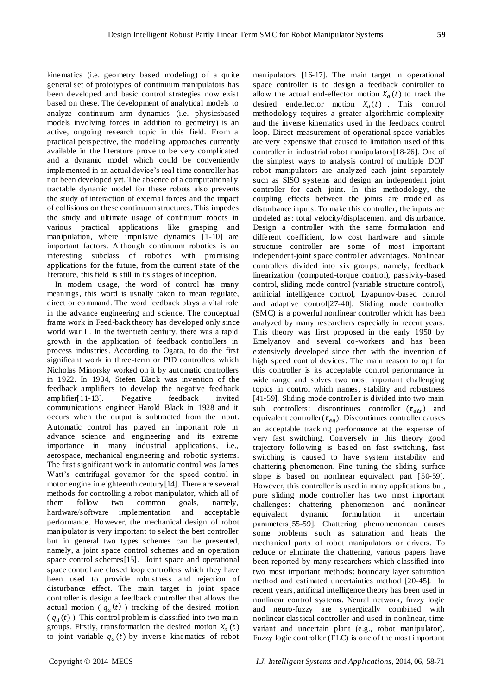kinematics (i.e. geometry based modeling) of a qu ite general set of prototypes of continuum manipulators has been developed and basic control strategies now exist based on these. The development of analytical models to analyze continuum arm dynamics (i.e. physicsbased models involving forces in addition to geometry) is an active, ongoing research topic in this field. From a practical perspective, the modeling approaches currently available in the literature prove to be very complicated and a dynamic model which could be conveniently implemented in an actual device's real-time controller has not been developed yet. The absence of a computationally tractable dynamic model for these robots also prevents the study of interaction of external forces and the impact of collisions on these continuum structures. This impedes the study and ultimate usage of continuum robots in various practical applications like grasping and manipulation, where impulsive dynamics [1-10] are important factors. Although continuum robotics is an interesting subclass of robotics with promising applications for the future, from the current state of the literature, this field is still in its stages of inception.

In modern usage, the word of control has many meanings, this word is usually taken to mean regulate, direct or command. The word feedback plays a vital role in the advance engineering and science. The conceptual frame work in Feed-back theory has developed only since world war II. In the twentieth century, there was a rapid growth in the application of feedback controllers in process industries. According to Ogata, to do the first significant work in three -term or PID controllers which Nicholas Minorsky worked on it by automatic controllers in 1922. In 1934, Stefen Black was invention of the feedback amplifiers to develop the negative feedback amplifier[11-13]. Negative feedback invited communications engineer Harold Black in 1928 and it occurs when the output is subtracted from the input. Automatic control has played an important role in advance science and engineering and its extreme importance in many industrial applications, i.e., aerospace, mechanical engineering and robotic systems. The first significant work in automatic control was James Watt's centrifugal governor for the speed control in motor engine in eighteenth century[14]. There are several methods for controlling a robot manipulator, which all of them follow two common goals, namely, hardware/software implementation and acceptable performance. However, the mechanical design of robot manipulator is very important to select the best controller but in general two types schemes can be presented, namely, a joint space control schemes and an operation space control schemes[15]. Joint space and operational space control are closed loop controllers which they have been used to provide robustness and rejection of disturbance effect. The main target in joint space controller is design a feedback controller that allows the actual motion ( $q_a(t)$ ) tracking of the desired motion  $(q_d(t))$ . This control problem is classified into two main groups. Firstly, transformation the desired motion  $X_d(t)$ to joint variable  $q_d(t)$  by inverse kinematics of robot manipulators [16-17]. The main target in operational space controller is to design a feedback controller to allow the actual end-effector motion  $X_a(t)$  to track the desired endeffector motion  $X_d(t)$ . This control methodology requires a greater algorithmic complexity and the inverse kinematics used in the feedback control loop. Direct measurement of operational space variables are very expensive that caused to limitation used of this controller in industrial robot manipulators[18-26]. One of the simplest ways to analysis control of multiple DOF robot manipulators are analyzed each joint separately such as SISO systems and design an independent joint controller for each joint. In this methodology, the coupling effects between the joints are modeled as disturbance inputs. To make this controller, the inputs are modeled as: total velocity/displacement and disturbance. Design a controller with the same formulation and different coefficient, low cost hardware and simple structure controller are some of most important independent-joint space controller advantages. Nonlinear controllers divided into six groups, namely, feedback linearization (computed-torque control), passivity-based control, sliding mode control (variable structure control), artificial intelligence control, Lyapunov-based control and adaptive control[27-40]. Sliding mode controller (SMC) is a powerful nonlinear controller which has been analyzed by many researchers especially in recent years. This theory was first proposed in the early 1950 by Emelyanov and several co-workers and has been extensively developed since then with the invention of high speed control devices. The main reason to opt for this controller is its acceptable control performance in wide range and solves two most important challenging topics in control which names, stability and robustness [41-59]. Sliding mode controller is divided into two main sub controllers: discontinues controller  $(\tau_{dis})$  and equivalent controller( $\tau_{eq}$ ). Discontinues controller causes an acceptable tracking performance at the expense of very fast switching. Conversely in this theory good trajectory following is based on fast switching, fast switching is caused to have system instability and chattering phenomenon. Fine tuning the sliding surface slope is based on nonlinear equivalent part [50-59]. However, this controller is used in many applications but, pure sliding mode controller has two most important challenges: chattering phenomenon and nonlinear equivalent dynamic formulation in uncertain parameters[55-59]. Chattering phenomenoncan causes some problems such as saturation and heats the mechanical parts of robot manipulators or drivers. To reduce or eliminate the chattering, various papers have been reported by many researchers which classified into two most important methods: boundary layer saturation method and estimated uncertainties method [20-45]. In recent years, artificial intelligence theory has been used in nonlinear control systems. Neural network, fuzzy logic and neuro-fuzzy are synergically combined with nonlinear classical controller and used in nonlinear, time variant and uncertain plant (e.g., robot manipulator). Fuzzy logic controller (FLC) is one of the most important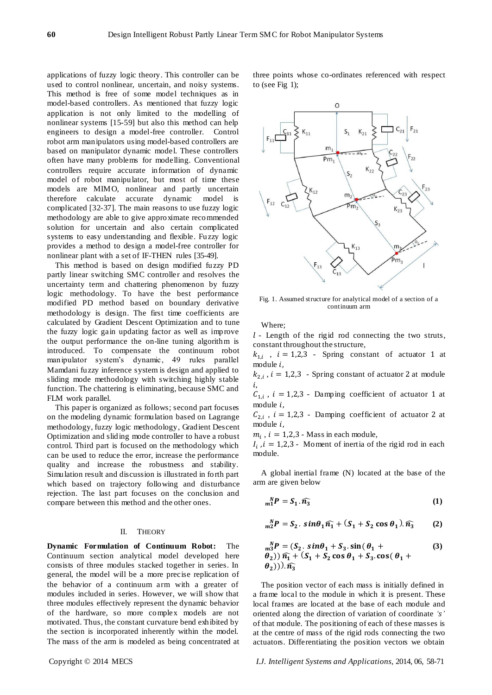applications of fuzzy logic theory. This controller can be used to control nonlinear, uncertain, and noisy systems. This method is free of some model techniques as in model-based controllers. As mentioned that fuzzy logic application is not only limited to the modelling of nonlinear systems [15-59] but also this method can help engineers to design a model-free controller. Control robot arm manipulators using model-based controllers are based on manipulator dynamic model. These controllers often have many problems for modelling. Conventional controllers require accurate information of dynamic model of robot manipulator, but most of time these models are MIMO, nonlinear and partly uncertain therefore calculate accurate dynamic model is complicated [32-37]. The main reasons to use fuzzy logic methodology are able to give approximate recommended solution for uncertain and also certain complicated systems to easy understanding and flexible. Fuzzy logic provides a method to design a model-free controller for nonlinear plant with a set of IF-THEN rules [35-49].

This method is based on design modified fuzzy PD partly linear switching SMC controller and resolves the uncertainty term and chattering phenomenon by fuzzy logic methodology. To have the best performance modified PD method based on boundary derivative methodology is design. The first time coefficients are calculated by Gradient Descent Optimization and to tune the fuzzy logic gain updating factor as well as improve the output performance the on-line tuning algorithm is introduced. To compensate the continuum robot manipulator system"s dynamic, 49 rules parallel Mamdani fuzzy inference system is design and applied to sliding mode methodology with switching highly stable function. The chattering is eliminating, because SMC and FLM work parallel.

This paper is organized as follows; second part focuses on the modeling dynamic formulation based on Lagrange methodology, fuzzy logic methodology, Gradient Descent Optimization and sliding mode controller to have a robust control. Third part is focused on the methodology which can be used to reduce the error, increase the performance quality and increase the robustness and stability. Simulation result and discussion is illustrated in forth part which based on trajectory following and disturbance rejection. The last part focuses on the conclusion and compare between this method and the other ones.

#### II. THEORY

**Dynamic Formulation of Continuum Robot:** The Continuum section analytical model developed here consists of three modules stacked together in series. In general, the model will be a more precise replication of the behavior of a continuum arm with a greater of modules included in series. However, we will show that three modules effectively represent the dynamic behavior of the hardware, so more complex models are not motivated. Thus, the constant curvature bend exhibited by the section is incorporated inherently within the model. The mass of the arm is modeled as being concentrated at three points whose co-ordinates referenced with respect to (see Fig 1);



Fig. 1. Assumed structure for analytical model of a section of a continuum arm

Where;

 $l$  - Length of the rigid rod connecting the two struts, constant throughout the structure,

 $k_{1,i}$ ,  $i = 1,2,3$  - Spring constant of actuator 1 at module  $i$ ,

 $k_{2,i}$ ,  $i = 1,2,3$  - Spring constant of actuator 2 at module i.

 $C_{1,i}$ ,  $i = 1,2,3$  - Damping coefficient of actuator 1 at module  $i$ ,

 $C_{2,i}$ ,  $i = 1,2,3$  - Damping coefficient of actuator 2 at module  $i$ ,

 $m_i$ ,  $i = 1,2,3$  - Mass in each module,

 $I_i$ ,  $i = 1,2,3$  - Moment of inertia of the rigid rod in each module.

A global inertial frame (N) located at the base of the arm are given below

$$
{}_{m1}^{N}P = S_1 \cdot \widehat{n_3} \tag{1}
$$

$$
{}_{m2}^{N}P = S_2 \cdot \sin\theta_1 \widehat{n_1} + (S_1 + S_2 \cos\theta_1) \cdot \widehat{n_3} \tag{2}
$$

$$
m_3^N P = (S_2 \cdot \sin\theta_1 + S_3 \cdot \sin(\theta_1 + \theta_2)) \widehat{n_1} + (S_1 + S_2 \cos \theta_1 + S_3 \cdot \cos(\theta_1 + \theta_2)) \widehat{n_3}
$$
 (3)

The position vector of each mass is initially defined in a frame local to the module in which it is present. These local frames are located at the base of each module and oriented along the direction of variation of coordinate 's' of that module. The positioning of each of these masses is at the centre of mass of the rigid rods connecting the two actuators. Differentiating the position vectors we obtain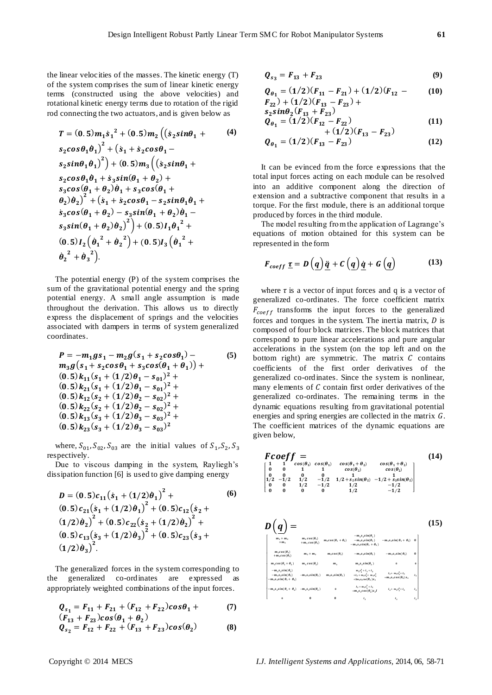the linear velocities of the masses. The kinetic energy (T) of the system comp rises the sum of linear kinetic energy terms (constructed using the above velocities) and rotational kinetic energy terms due to rotation of the rigid rod connecting the two actuators, and is given below as

$$
T = (0.5) m_1 \dot{s}_1{}^2 + (0.5) m_2 \left( (\dot{s}_2 \sin \theta_1 + \dot{s}_2 \cos \theta_1) \dot{s}_1 + (\dot{s}_1 + \dot{s}_2 \cos \theta_1) -
$$
  
\n
$$
s_2 \sin \theta_1 \dot{\theta}_1{}^2 + (\dot{s}_1 + \dot{s}_2 \cos \theta_1) -
$$
  
\n
$$
s_2 \sin \theta_1 \dot{\theta}_1{}^2 + (0.5) m_3 \left( (\dot{s}_2 \sin \theta_1) +
$$
  
\n
$$
s_2 \cos \theta_1 \dot{\theta}_1 + \dot{s}_3 \sin (\theta_1) + \theta_2 \dot{s}_1 +
$$
  
\n
$$
s_3 \cos (\theta_1) + \theta_2 \dot{s}_1 + s_2 \cos \theta_1 - s_2 \sin \theta_1 \dot{\theta}_1 +
$$
  
\n
$$
s_3 \cos (\theta_1) + \theta_2 \dot{s}_2 + (0.5) I_1 \dot{\theta}_1{}^2 +
$$
  
\n
$$
s_3 \sin (\theta_1) + \theta_2 \dot{\theta}_2{}^2 + (\theta_2) \dot{s}_1 + (\theta_3) I_3 \dot{\theta}_1{}^2 +
$$
  
\n
$$
\theta_2{}^2 + \theta_3{}^2
$$

The potential energy (P) of the system comprises the sum of the gravitational potential energy and the spring potential energy. A small angle assumption is made throughout the derivation. This allows us to directly express the displacement of springs and the velocities associated with dampers in terms of system generalized coordinates.

$$
P = -m_1gs_1 - m_2g(s_1 + s_2cos\theta_1) -
$$
  
\n
$$
m_3g(s_1 + s_2cos\theta_1 + s_3cos(\theta_1 + \theta_1)) +
$$
  
\n
$$
(0.5)k_{11}(s_1 + (1/2)\theta_1 - s_{01})^2 +
$$
  
\n
$$
(0.5)k_{21}(s_1 + (1/2)\theta_1 - s_{01})^2 +
$$
  
\n
$$
(0.5)k_{12}(s_2 + (1/2)\theta_2 - s_{02})^2 +
$$
  
\n
$$
(0.5)k_{22}(s_2 + (1/2)\theta_2 - s_{02})^2 +
$$
  
\n
$$
(0.5)k_{13}(s_3 + (1/2)\theta_3 - s_{03})^2 +
$$
  
\n
$$
(0.5)k_{23}(s_3 + (1/2)\theta_3 - s_{03})^2
$$

where,  $S_{01}$ ,  $S_{02}$ ,  $S_{03}$  are the initial values of  $S_1$ ,  $S_2$ , respectively.

Due to viscous damping in the system, Rayliegh's dissipation function [6] is used to give damping energy

$$
D = (0.5)c_{11}(s_1 + (1/2)\theta_1)^2 + (0.5)c_{12}(s_2 + (1/2)\theta_1)^2 + (0.5)c_{12}(s_2 + (1/2)\theta_2)^2 + (0.5)c_{22}(s_2 + (1/2)\theta_2)^2 + (0.5)c_{13}(s_3 + (1/2)\theta_3)^2 + (0.5)c_{23}(s_3 + (1/2)\theta_3)^2.
$$
 (6)

The generalized forces in the system corresponding to the generalized co-ordinates are expressed as appropriately weighted combinations of the input forces.

$$
Q_{s_1} = F_{11} + F_{21} + (F_{12} + F_{22})\cos\theta_1 + (F_{13} + F_{23})\cos(\theta_1 + \theta_2)
$$
 (7)

$$
Q_{s_2} = F_{12}^2 + F_{22} + (F_{13}^2 + F_{23})cos(\theta_2)
$$
 (8)

$$
Q_{s_3} = F_{13} + F_{23} \tag{9}
$$

$$
Q_{\theta_1} = (1/2)(F_{11} - F_{21}) + (1/2)(F_{12} - T_{22}) + (1/2)(F_{13} - F_{23}) +
$$
\n(10)

$$
S_2 \sin \theta_2 (F_{13} + F_{23})
$$
  
\n
$$
Q_{\theta_1} = (1/2)(F_{12} - F_{22})
$$
\n(11)

+ (1/2)(F<sub>13</sub> - F<sub>23</sub>)  
\n
$$
Q_{\theta_1} = (1/2)(F_{13} - F_{23})
$$
\n(12)

It can be evinced from the force expressions that the total input forces acting on each module can be resolved into an additive component along the direction of extension and a subtractive component that results in a torque. For the first module, there is an additional torque produced by forces in the third module.

The model resulting from the application of Lagrange's equations of motion obtained for this system can be represented in the form

$$
F_{coeff} \underline{\tau} = D\left(\underline{q}\right)\underline{\ddot{q}} + C\left(\underline{q}\right)\underline{\dot{q}} + G\left(\underline{q}\right) \tag{13}
$$

where  $\tau$  is a vector of input forces and q is a vector of generalized co-ordinates. The force coefficient matrix  $F_{coeff}$  transforms the input forces to the generalized forces and torques in the system. The inertia matrix,  $D$  is composed of four block matrices. The block matrices that correspond to pure linear accelerations and pure angular accelerations in the system (on the top left and on the bottom right) are symmetric. The matrix  $C$  contains coefficients of the first order derivatives of the generalized co-ordinates. Since the system is nonlinear, many elements of  $C$  contain first order derivatives of the generalized co-ordinates. The remaining terms in the dynamic equations resulting from gravitational potential energies and spring energies are collected in the matrix  $G$ . The coefficient matrices of the dynamic equations are given below,

 $\overline{a}$ 

$$
FCoeff = (14)
$$
\n
$$
\begin{bmatrix}\n1 & 1 & cos(\theta_1) & cos(\theta_1) & cos(\theta_1 + \theta_2) & cos(\theta_1 + \theta_2) \\
0 & 0 & 1 & 1 & cos(\theta_2) & cos(\theta_2) \\
0 & 0 & 0 & 1 & 1 & 1 \\
1/2 & -1/2 & 1/2 & -1/2 & 1/2 + s_2 sin(\theta_2) & -1/2 + s_2 sin(\theta_2) \\
0 & 0 & 1/2 & -1/2 & 1/2 & -1/2 & -1/2 \\
0 & 0 & 0 & 0 & 1/2 & -1/2 & -1/2\n\end{bmatrix}
$$
\n
$$
D\left(\underbrace{q}_{m_1+m_1} \right) = \sum_{\substack{m_1 \cos(\theta_1) \\ m_2 \cos(\theta_2) \\ m_3 \cos(\theta_1) \\ m_4 m_5}} \sum_{\substack{m_1 \cos(\theta_1) \\ m_2 \cos(\theta_2) \\ m_3 \cos(\theta_1 + \theta_2) \\ m_4 \cos(\theta_2) \\ m_5 \cos(\theta_1 + \theta_2) \\ m_6 \cos(\theta_1 + \theta_2) \\ m_7 \cos(\theta_1)} \sum_{\substack{m_1 \cos(\theta_1) \\ m_1 \cos(\theta_2) \\ m_2 \cos(\theta_2) \\ m_3 \sin(\theta_2) \\ m_4 \cos(\theta_3) \\ m_5 \cos(\theta_1 + \theta_2) \\ m_6 \cos(\theta_1 + \theta_2) \\ m_7 \cos(\theta_2)} \sum_{\substack{m_1 \sin(\theta_1) \\ m_2 \sin(\theta_2) \\ m_3 \sin(\theta_2) \\ m_4 \sin(\theta_1 + \theta_2) \\ m_5 \sin(\theta_2) \\ m_6 \cos(\theta_3) \\ m_7 \cos(\theta_4)} \sum_{\substack{m_1 \sin(\theta_1) \\ m_1 \sin(\theta_2) \\ m_2 \sin(\theta_1 + \theta_2) \\ m_3 \sin(\theta_2) \\ m_4 \cos(\theta_3) \\ m_5 \cos(\theta_4 + \theta_2)} \sum_{\substack{m_1 \sin(\theta_1) \\ m_1 \sin(\theta_2) \\ m_2 \sin(\theta_1 + \theta_2) \\ m_3 \sin(\theta_2) \\ m_4 \cos(\theta_3) \\ m_5 \cos(\theta_4)} \sum_{\substack{m_1 \sin(\theta_1
$$

**(14)**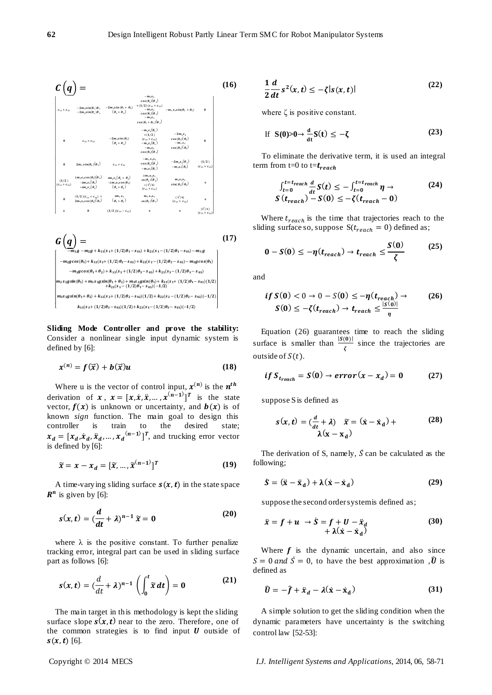

 $G ( q )$  $\overline{a}$ ł  $\left. m_2s_2g\sin{(\theta_1)} +m_3s_3g\sin{(\theta_1+\theta_2)} +m_3s_2g\sin{(\theta_1)} +k_{11}(s_1+(1/2)\theta_1-s_{01})(1/2) \right. \nonumber \\ \left. +k_{21}(s_1-(1/2)\theta_1-s_{01})(-1/2) \right]$  $m_2g + k_{11}(s_1 + (1/2)\theta_1 - s_{01}) + k_{21}(s_1 - (1/2)\theta_1 - s_{01}) - m_3g$  $-m_2 g cos(\theta_1) + k_{12}(s_2+(1/2)\theta_2 - s_{02}) + k_{22}(s_2-(1/2)\theta_2 - s_{02}) - m_3 g cos(\theta_1)$  $-m_3g\cos(\theta_1+\theta_2) + k_{13}(s_3 + (1/2)\theta_3 - s_{03}) + k_{23}(s_3 - (1/2)\theta_3 - s_{03})$  $m_3s_3g\sin(\theta_1+\theta_2)+k_{12}(s_2+(1/2)\theta_2-s_{02})(1/2)+k_{22}(s_2-(1/2)\theta_2-s_{02})(-1/2)$  $k_{13}(s_3+(1/2)\theta_3-s_{03})(1/2)+k_{23}(s_3-(1/2)\theta_3-s_{03})(-1/2)$ I I I I I I **(17)**

**Sliding Mode Controller and prove the stability:** Consider a nonlinear single input dynamic system is defined by [6]:

$$
x^{(n)} = f(\vec{x}) + b(\vec{x})u \tag{18}
$$

Where u is the vector of control input,  $x^{(n)}$  is the  $n^t$ derivation of  $x$ ,  $x = [x, \dot{x}, \ddot{x}, \dots, x^{(n-1)}]^T$  is the state vector,  $f(x)$  is unknown or uncertainty, and  $b(x)$  is of known *sign* function. The main goal to design this controller is train to the desired state;  $x_d = [x_d, \dot{x}_d, \ddot{x}_d, ..., x_d^{(n-1)}]^T$ , and trucking error vector is defined by [6]:

$$
\widetilde{x} = x - x_d = [\widetilde{x}, \dots, \widetilde{x}^{(n-1)}]^T
$$
 (19)

A time-varying sliding surface  $s(x, t)$  in the state space  $\mathbb{R}^n$  is given by [6]:

$$
s(x,t) = \left(\frac{d}{dt} + \lambda\right)^{n-1} \tilde{x} = 0
$$
 (20)

where  $\lambda$  is the positive constant. To further penalize tracking error, integral part can be used in sliding surface part as follows [6]:

$$
s(x,t) = \left(\frac{d}{dt} + \lambda\right)^{n-1} \left(\int_0^t \widetilde{x} \, dt\right) = 0 \tag{21}
$$

The main target in this methodology is kept the sliding surface slope  $s(x, t)$  near to the zero. Therefore, one of the common strategies is to find input  $U$  outside of  $s(x, t)$  [6].

$$
\frac{1}{2}\frac{d}{dt}s^2(x,t) \le -\zeta|s(x,t)|\tag{22}
$$

where  $\zeta$  is positive constant.

If 
$$
S(0) > 0 \rightarrow \frac{d}{dt} S(t) \le -\zeta
$$
 (23)

To eliminate the derivative term, it is used an integral term from t=0 to t= $t_{reach}$ 

$$
\int_{t=0}^{t=t_{reach}} \frac{d}{dt} S(t) \le - \int_{t=0}^{t=t_{reach}} \eta \to
$$
\n
$$
S(t_{reach}) - S(0) \le -\zeta(t_{reach} - 0)
$$
\n(24)

Where  $t_{reach}$  is the time that trajectories reach to the sliding surface so, suppose  $S(t_{reach} = 0)$  defined as;

$$
0 - S(0) \le -\eta(t_{reach}) \to t_{reach} \le \frac{S(0)}{\zeta}
$$
 (25)

and

$$
if S(0) < 0 \to 0 - S(0) \le -\eta(t_{reach}) \to (26)
$$
  

$$
S(0) \le -\zeta(t_{reach}) \to t_{reach} \le \frac{|S(0)|}{\eta}
$$

Equation (26) guarantees time to reach the sliding surface is smaller than  $\frac{|S(0)|}{\tau}$  $rac{\sigma}{\zeta}$  since the trajectories are outside of  $S(t)$ .

$$
if S_{t_{reach}} = S(0) \rightarrow error(x - x_d) = 0 \qquad (27)
$$

suppose S is defined as

$$
s(x, t) = \left(\frac{d}{dt} + \lambda\right) \quad \tilde{x} = (\dot{x} - \dot{x}_d) + \tag{28}
$$
\n
$$
\lambda(x - x_d)
$$

The derivation of S, namely,  $\dot{S}$  can be calculated as the following;

$$
\dot{\mathbf{S}} = (\ddot{\mathbf{x}} - \ddot{\mathbf{x}}_{\mathbf{d}}) + \lambda(\dot{\mathbf{x}} - \dot{\mathbf{x}}_{\mathbf{d}})
$$
 (29)

suppose the second order system is defined as;

$$
\ddot{x} = f + u \rightarrow \dot{S} = f + U - \ddot{x}_d + \lambda(\dot{x} - \dot{x}_d)
$$
 (30)

Where  $f$  is the dynamic uncertain, and also since  $S = 0$  and  $\dot{S} = 0$ , to have the best approximation ,  $\hat{U}$  is defined as

$$
\hat{U} = -\hat{f} + \ddot{x}_d - \lambda(\dot{x} - \dot{x}_d)
$$
\n(31)

A simple solution to get the sliding condition when the dynamic parameters have uncertainty is the switching control law [52-53]: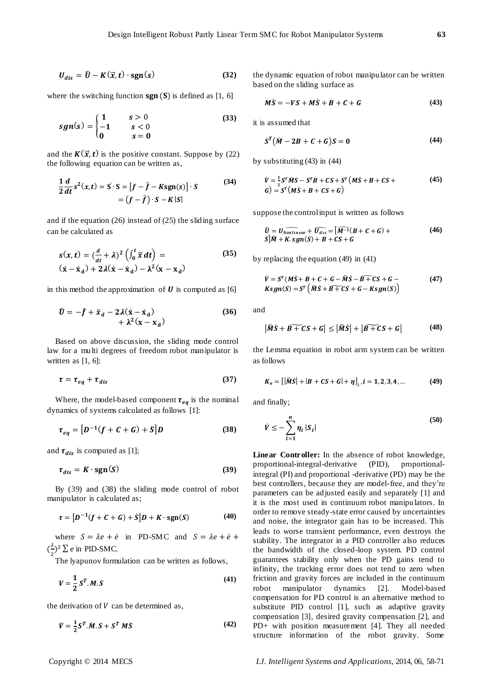$$
U_{dis} = \hat{U} - K(\vec{x}, t) \cdot \text{sgn}(s) \tag{32}
$$

where the switching function  $sgn(S)$  is defined as [1, 6]

$$
sgn(s) = \begin{cases} 1 & s > 0 \\ -1 & s < 0 \\ 0 & s = 0 \end{cases}
$$
 (33)

and the  $K(\vec{x}, t)$  is the positive constant. Suppose by (22) the following equation can be written as,

$$
\frac{1}{2}\frac{d}{dt}s^{2}(x,t) = S \cdot S = [f - \hat{f} - Ksgn(s)] \cdot S
$$
\n
$$
= (f - \hat{f}) \cdot S - K|S|
$$
\n(34)

and if the equation (26) instead of (25) the sliding surface can be calculated as

$$
s(x,t) = \left(\frac{d}{dt} + \lambda\right)^2 \left(\int_0^t \tilde{x} dt\right) =
$$
  
\n
$$
(\dot{x} - \dot{x}_d) + 2\lambda(\dot{x} - \dot{x}_d) - \lambda^2(x - x_d)
$$
\n(35)

in this method the approximation of  $\boldsymbol{U}$  is computed as [6]

$$
\hat{U} = -\hat{f} + \ddot{x}_d - 2\lambda(\dot{x} - \dot{x}_d) + \lambda^2(x - x_d)
$$
\n(36)

Based on above discussion, the sliding mode control law for a multi degrees of freedom robot manipulator is written as [1, 6]:

$$
\tau = \tau_{eq} + \tau_{dis} \tag{37}
$$

Where, the model-based component  $\tau_{eq}$  is the nominal dynamics of systems calculated as follows [1]:

$$
\tau_{eq} = [D^{-1}(f + C + G) + S]D \tag{38}
$$

and  $\tau_{dis}$  is computed as [1];

$$
\tau_{dis} = K \cdot \text{sgn}(S) \tag{39}
$$

By (39) and (38) the sliding mode control of robot manipulator is calculated as;

$$
\tau = \left[D^{-1}(f + C + G) + \dot{S}\right]D + K \cdot \text{sgn}(S) \tag{40}
$$

where  $S = \lambda e + \dot{e}$  in PD-SMC and  $S = \lambda e + \dot{e} +$  $\left(\frac{\lambda}{\epsilon}\right)$  $\frac{\lambda}{2}$ )<sup>2</sup>  $\sum e$  in PID-SMC.

The lyapunov formulation can be written as follows,

$$
V = \frac{1}{2} S^T . M . S \tag{41}
$$

the derivation of  $V$  can be determined as,

$$
\dot{V} = \frac{1}{2}S^T \dot{M} \dot{S} + S^T \dot{M} \dot{S} \tag{42}
$$

the dynamic equation of robot manipulator can be written based on the sliding surface as

$$
M\dot{S} = -VS + M\dot{S} + B + C + G \qquad (43)
$$

it is assumed that

$$
ST(\dot{M}-2B+C+G)S=0
$$
 (44)

by substituting (43) in (44)

$$
\dot{V} = \frac{1}{2}S^{T}\dot{M}S - S^{T}B + CS + S^{T}(M\dot{S} + B + CS + G)
$$
\n
$$
G) = S^{T}(M\dot{S} + B + CS + G)
$$
\n(45)

suppose the control input is written as follows

$$
\widehat{U} = \widehat{U_{Nonlinear} + U_{dis}} = [\widehat{M^{-1}}(B + C + G) +\widehat{S}]\widehat{M} + K \cdot sgn(S) + B + CS + G
$$
\n(46)

by replacing the equation (49) in (41)

$$
\dot{V} = S^{T}(M\dot{S} + B + C + G - \hat{M}\dot{S} - \hat{B + CS} + G - Ksgn(S)) = S^{T}(\tilde{M}\dot{S} + \tilde{B + CS} + G - Ksgn(S))
$$
\n(47)

and

$$
|\widetilde{M}\dot{S} + \widetilde{B + CS} + G| \le |\widetilde{M}\dot{S}| + |\widetilde{B + CS} + G|
$$
 (48)

the Lemma equation in robot arm system can be written as follows

$$
K_u = [|\widetilde{M}\dot{S}| + |B + CS + G| + \eta]_i, i = 1, 2, 3, 4, ... \tag{49}
$$

and finally;

$$
\dot{V} \le -\sum_{i=1}^{n} \eta_i |S_i| \tag{50}
$$

**Linear Controller:** In the absence of robot knowledge, proportional-integral-derivative (PID), proportionalintegral (PI) and proportional -derivative (PD) may be the best controllers, because they are model-free, and they"re parameters can be adjusted easily and separately [1] and it is the most used in continuum robot manipulators. In order to remove steady-state error caused by uncertainties and noise, the integrator gain has to be increased. This leads to worse transient performance, even destroys the stability. The integrator in a PID controller also reduces the bandwidth of the closed-loop system. PD control guarantees stability only when the PD gains tend to infinity, the tracking error does not tend to zero when friction and gravity forces are included in the continuum robot manipulator dynamics [2]. Model-based compensation for PD control is an alternative method to substitute PID control [1], such as adaptive gravity compensation [3], desired gravity compensation [2], and PD+ with position measurement [4]. They all needed structure information of the robot gravity. Some

Copyright © 2014 MECS *I.J. Intelligent Systems and Applications,* 2014, 06, 58-71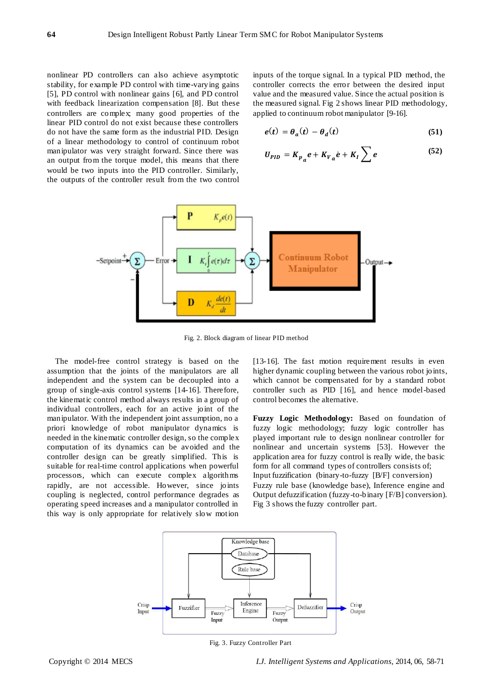nonlinear PD controllers can also achieve asymptotic stability, for example PD control with time-varying gains [5], PD control with nonlinear gains [6], and PD control with feedback linearization compensation [8]. But these controllers are complex; many good properties of the linear PID control do not exist because these controllers do not have the same form as the industrial PID. Design of a linear methodology to control of continuum robot manipulator was very straight forward. Since there was an output from the torque model, this means that there would be two inputs into the PID controller. Similarly, the outputs of the controller result from the two control

inputs of the torque signal. In a typical PID method, the controller corrects the error between the desired input value and the measured value. Since the actual position is the measured signal. Fig 2 shows linear PID methodology, applied to continuum robot manipulator [9-16].

$$
e(t) = \theta_a(t) - \theta_d(t) \tag{51}
$$

$$
U_{PID} = K_{p_a} e + K_{V_a} e + K_I \sum e
$$
 (52)



Fig. 2. Block diagram of linear PID method

The model-free control strategy is based on the assumption that the joints of the manipulators are all independent and the system can be decoupled into a group of single-axis control systems [14-16]. Therefore, the kinematic control method always results in a group of individual controllers, each for an active joint of the manipulator. With the independent joint assumption, no a priori knowledge of robot manipulator dynamics is needed in the kinematic controller design, so the complex computation of its dynamics can be avoided and the controller design can be greatly simplified. This is suitable for real-time control applications when powerful processors, which can execute complex algorithms rapidly, are not accessible. However, since joints coupling is neglected, control performance degrades as operating speed increases and a manipulator controlled in this way is only appropriate for relatively slow motion

[13-16]. The fast motion requirement results in even higher dynamic coupling between the various robot joints, which cannot be compensated for by a standard robot controller such as PID [16], and hence model-based control becomes the alternative.

**Fuzzy Logic Methodology:** Based on foundation of fuzzy logic methodology; fuzzy logic controller has played important rule to design nonlinear controller for nonlinear and uncertain systems [53]. However the application area for fuzzy control is really wide, the basic form for all command types of controllers consists of; Input fuzzification (binary-to-fuzzy [B/F] conversion) Fuzzy rule base (knowledge base), Inference engine and Output defuzzification (fuzzy-to-binary [F/B] conversion). Fig 3 shows the fuzzy controller part.



Fig. 3. Fuzzy Controller Part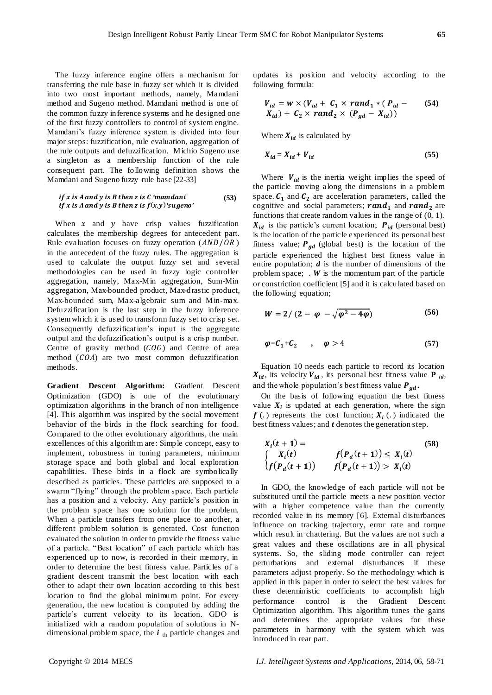The fuzzy inference engine offers a mechanism for transferring the rule base in fuzzy set which it is divided into two most important methods, namely, Mamdani method and Sugeno method. Mamdani method is one of the common fuzzy inference systems and he designed one of the first fuzzy controllers to control of system engine. Mamdani"s fuzzy inference system is divided into four major steps: fuzzification, rule evaluation, aggregation of the rule outputs and defuzzification. Michio Sugeno use a singleton as a membership function of the rule consequent part. The following definition shows the Mamdani and Sugeno fuzzy rule base [22-33]

if x is A and y is B then z is C'mamdani' 
$$
(53)
$$
 if x is A and y is B then z is  $f(x, y)'$ 'sugeno'

When  $x$  and  $y$  have crisp values fuzzification calculates the membership degrees for antecedent part. Rule evaluation focuses on fuzzy operation  $(AND/OR)$ in the antecedent of the fuzzy rules. The aggregation is used to calculate the output fuzzy set and several methodologies can be used in fuzzy logic controller aggregation, namely, Max-Min aggregation, Sum-Min aggregation, Max-bounded product, Max-drastic product, Max-bounded sum, Max-algebraic sum and Min-max. Defuzzification is the last step in the fuzzy inference system which it is used to transform fuzzy set to crisp set. Consequently defuzzification"s input is the aggregate output and the defuzzification"s output is a crisp number. Centre of gravity method  $(COG)$  and Centre of area method  $(COA)$  are two most common defuzzification methods.

**Gradient Descent Algorithm:** Gradient Descent Optimization (GDO) is one of the evolutionary optimization algorithms in the branch of non intelligence [4]. This algorithm was inspired by the social movement behavior of the birds in the flock searching for food. Compared to the other evolutionary algorithms, the main excellences of this algorithm are: Simple concept, easy to implement, robustness in tuning parameters, minimum storage space and both global and local exploration capabilities. These birds in a flock are symbolically described as particles. These particles are supposed to a swarm "flying" through the problem space. Each particle has a position and a velocity. Any particle's position in the problem space has one solution for the problem. When a particle transfers from one place to another, a different problem solution is generated. Cost function evaluated the solution in order to provide the fitness value of a particle. "Best location" of each particle which has experienced up to now, is recorded in their memory, in order to determine the best fitness value. Particles of a gradient descent transmit the best location with each other to adapt their own location according to this best location to find the global minimum point. For every generation, the new location is computed by adding the particle"s current velocity to its location. GDO is initialized with a random population of solutions in Ndimensional problem space, the *i*<sub>th</sub> particle changes and updates its position and velocity according to the following formula:

$$
V_{id} = w \times (V_{id} + C_1 \times rand_1 * (P_{id} - K_2 \times rand_2 \times (P_{gd} - X_{id}))
$$
\n
$$
X_{id} + C_2 \times rand_2 \times (P_{gd} - X_{id}))
$$
\n
$$
(54)
$$

Where  $X_{id}$  is calculated by

$$
X_{id} = X_{id} + V_{id} \tag{55}
$$

Where  $V_{id}$  is the inertia weight implies the speed of the particle moving along the dimensions in a problem space.  $C_1$  and  $C_2$  are acceleration parameters, called the cognitive and social parameters; **rand**<sub>1</sub> and **rand**<sub>2</sub> are functions that create random values in the range of (0, 1).  $X_{id}$  is the particle's current location;  $P_{id}$  (personal best) is the location of the particle experienced its personal best fitness value;  $P_{qd}$  (global best) is the location of the particle experienced the highest best fitness value in entire population; *d* is the number of dimensions of the problem space; . *W* is the momentum part of the particle or constriction coefficient [5] and it is calculated based on the following equation;

$$
W = 2/(2 - \varphi - \sqrt{\varphi^2 - 4\varphi})
$$
 (56)

$$
\varphi = C_1 + C_2 \qquad , \qquad \varphi > 4 \tag{57}
$$

Equation 10 needs each particle to record its location  $X_{id}$ , its velocity  $V_{id}$ , its personal best fitness value **P** *id*, and the whole population's best fitness value  $P_{gd}$ .

On the basis of following equation the best fitness value  $X_i$  is updated at each generation, where the sign  $f(.)$  represents the cost function;  $X_i(.)$  indicated the best fitness values; and *t* denotes the generation step.

$$
X_i(t + 1) = \n\begin{cases} \nX_i(t) & f(P_d(t + 1)) \le X_i(t) \\
f(P_d(t + 1)) & f(P_d(t + 1)) > X_i(t)\n\end{cases}
$$
\n(58)

In GDO, the knowledge of each particle will not be substituted until the particle meets a new position vector with a higher competence value than the currently recorded value in its memory [6]. External disturbances influence on tracking trajectory, error rate and torque which result in chattering. But the values are not such a great values and these oscillations are in all physical systems. So, the sliding mode controller can reject perturbations and external disturbances if these parameters adjust properly. So the methodology which is applied in this paper in order to select the best values for these deterministic coefficients to accomplish high performance control is the Gradient Descent Optimization algorithm. This algorithm tunes the gains and determines the appropriate values for these parameters in harmony with the system which was introduced in rear part.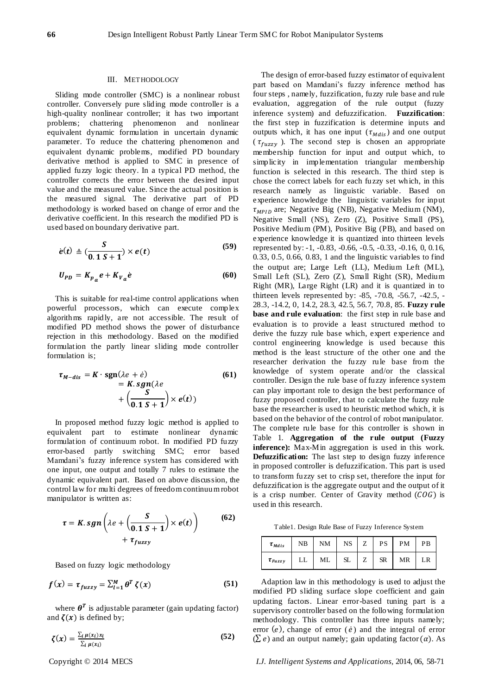#### III. METHODOLOGY

Sliding mode controller (SMC) is a nonlinear robust controller. Conversely pure sliding mode controller is a high-quality nonlinear controller; it has two important problems; chattering phenomenon and nonlinear equivalent dynamic formulation in uncertain dynamic parameter. To reduce the chattering phenomenon and equivalent dynamic problems, modified PD boundary derivative method is applied to SMC in presence of applied fuzzy logic theory. In a typical PD method, the controller corrects the error between the desired input value and the measured value. Since the actual position is the measured signal. The derivative part of PD methodology is worked based on change of error and the derivative coefficient. In this research the modified PD is used based on boundary derivative part.

$$
\dot{e}(t) \triangleq \left(\frac{S}{0.1 S + 1}\right) \times e(t) \tag{59}
$$

$$
U_{PD} = K_{p_a} e + K_{V_a} e \tag{60}
$$

This is suitable for real-time control applications when powerful processors, which can execute complex algorithms rapidly, are not accessible. The result of modified PD method shows the power of disturbance rejection in this methodology. Based on the modified formulation the partly linear sliding mode controller formulation is;

$$
\tau_{M-dis} = K \cdot \operatorname{sgn}(\lambda e + \dot{e})
$$
  
=  $K \cdot \operatorname{sgn}(\lambda e)$   
+  $\left(\frac{S}{0.1 S + 1}\right) \times e(t)$  (61)

In proposed method fuzzy logic method is applied to equivalent part to estimate nonlinear dynamic formulation of continuum robot. In modified PD fuzzy error-based partly switching SMC; error based Mamdani"s fuzzy inference system has considered with one input, one output and totally 7 rules to estimate the dynamic equivalent part. Based on above discussion, the control law for multi degrees of freedom continuum robot manipulator is written as:

$$
\tau = K \cdot sgn\left(\lambda e + \left(\frac{S}{0.1 S + 1}\right) \times e(t)\right) \tag{62}
$$

$$
+ \tau_{fuzzy}
$$

Based on fuzzy logic methodology

$$
f(x) = \tau_{fuzzy} = \sum_{l=1}^{M} \theta^T \zeta(x)
$$
 (51)

where  $\theta^T$  is adjustable parameter (gain updating factor) and  $\zeta(x)$  is defined by;

$$
\zeta(x) = \frac{\sum_{i} \mu(x_i) x_i}{\sum_{i} \mu(x_i)} \tag{52}
$$

The design of error-based fuzzy estimator of equivalent part based on Mamdani's fuzzy inference method has four steps , namely, fuzzification, fuzzy rule base and rule evaluation, aggregation of the rule output (fuzzy inference system) and defuzzification. **Fuzzification**: the first step in fuzzification is determine inputs and outputs which, it has one input  $(\tau_{Mdis})$  and one output ( $\tau_{fuzzy}$ ). The second step is chosen an appropriate membership function for input and output which, to simplicity in implementation triangular membership function is selected in this research. The third step is chose the correct labels for each fuzzy set which, in this research namely as linguistic variable. Based on experience knowledge the linguistic variables for input  $\tau_{MPID}$  are; Negative Big (NB), Negative Medium (NM), Negative Small (NS), Zero (Z), Positive Small (PS), Positive Medium (PM), Positive Big (PB), and based on experience knowledge it is quantized into thirteen levels represented by: -1, -0.83, -0.66, -0.5, -0.33, -0.16, 0, 0.16, 0.33, 0.5, 0.66, 0.83, 1 and the linguistic variables to find the output are; Large Left (LL), Medium Left (ML), Small Left (SL), Zero (Z), Small Right (SR), Medium Right (MR), Large Right (LR) and it is quantized in to thirteen levels represented by: -85, -70.8, -56.7, -42.5, - 28.3, -14.2, 0, 14.2, 28.3, 42.5, 56.7, 70.8, 85. **Fuzzy rule base and rule evaluation**: the first step in rule base and evaluation is to provide a least structured method to derive the fuzzy rule base which, expert experience and control engineering knowledge is used because this method is the least structure of the other one and the researcher derivation the fuzzy rule base from the knowledge of system operate and/or the classical controller. Design the rule base of fuzzy inference system can play important role to design the best performance of fuzzy proposed controller, that to calculate the fuzzy rule base the researcher is used to heuristic method which, it is based on the behavior of the control of robot manipulator. The complete rule base for this controller is shown in Table 1. **Aggregation of the rule output (Fuzzy inference):** Max-Min aggregation is used in this work. **Defuzzification:** The last step to design fuzzy inference in proposed controller is defuzzification. This part is used to transform fuzzy set to crisp set, therefore the input for defuzzification is the aggregate output and the output of it is a crisp number. Center of Gravity method  $(COG)$  is used in this research.

Table1. Design Rule Base of Fuzzy Inference System

| $\tau_{Mdis}$  | NB | <b>NM</b> | NS | Z | PS        | <b>PM</b> | PВ |
|----------------|----|-----------|----|---|-----------|-----------|----|
| $\tau_{Fuzzy}$ | LL | ML        | SL | Z | <b>SR</b> | MR        |    |

Adaption law in this methodology is used to adjust the modified PD sliding surface slope coefficient and gain updating factors. Linear error-based tuning part is a supervisory controller based on the following formulation methodology. This controller has three inputs namely; error  $(e)$ , change of error  $(e)$  and the integral of error  $(\Sigma e)$  and an output namely; gain updating factor  $(\alpha)$ . As

Copyright © 2014 MECS *I.J. Intelligent Systems and Applications,* 2014, 06, 58-71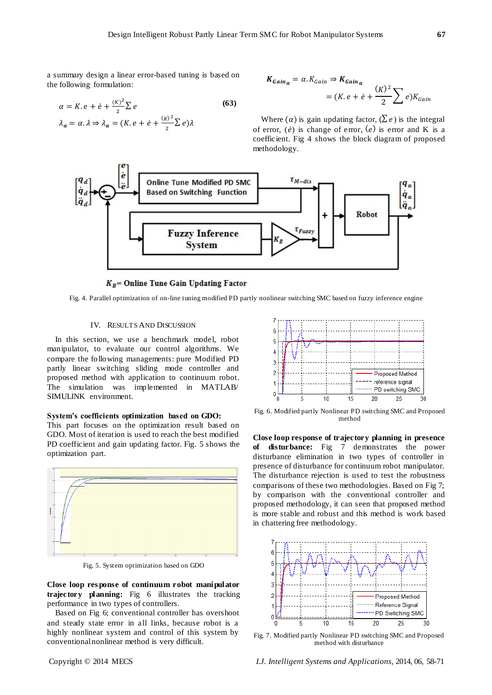a summary design a linear error-based tuning is based on the following formulation:

$$
\alpha = K \cdot e + \dot{e} + \frac{(\kappa)^2}{2} \sum e
$$
\n
$$
\lambda_a = \alpha \cdot \lambda \Rightarrow \lambda_a = (K \cdot e + \dot{e} + \frac{(\kappa)^2}{2} \sum e) \lambda
$$
\n(63)

 $\overline{\mathbf{c}}$ 

$$
K_{Gain_a} = \alpha. K_{Gain} \Rightarrow K_{Gain_a}
$$
  
=  $(K. e + e + \frac{(K)^2}{2} \sum e)K_{Gain}$ 

Where  $(\alpha)$  is gain updating factor,  $(\Sigma e)$  is the integral of error,  $(\dot{e})$  is change of error,  $(e)$  is error and K is a coefficient. Fig 4 shows the block diagram of proposed methodology.



## $K_B$  = Online Tune Gain Updating Factor

Fig. 4. Parallel optimization of on-line tuning modified PD partly nonlinear switching SMC based on fuzzy inference engine

## IV. RESULTS AND DISCUSSION

In this section, we use a benchmark model, robot manipulator, to evaluate our control algorithms. We compare the following managements: pure Modified PD partly linear switching sliding mode controller and proposed method with application to continuum robot. The simulation was implemented in MATLAB/ SIMULINK environment.

#### **System's coefficients optimization based on GDO:**

This part focuses on the optimization result based on GDO. Most of iteration is used to reach the best modified PD coefficient and gain updating factor. Fig. 5 shows the optimization part.



Fig. 5. System optimization based on GDO

**Close loop res ponse of continuum robot manipulator trajectory planning:** Fig 6 illustrates the tracking performance in two types of controllers.

Based on Fig 6; conventional controller has overshoot and steady state error in all links, because robot is a highly nonlinear system and control of this system by conventional nonlinear method is very difficult.

 $\overline{A}$ ś þ **Proposed Method** -- reference signal .......... PD switching SMC O 10 15 20 25

Fig. 6. Modified partly Nonlinear PD switching SMC and Proposed method

**Close loop response of trajectory planning in presence of disturbance:** Fig 7 demonstrates the power disturbance elimination in two types of controller in presence of disturbance for continuum robot manipulator. The disturbance rejection is used to test the robustness comparisons of these two methodologies. Based on Fig 7; by comparison with the conventional controller and proposed methodology, it can seen that proposed method is more stable and robust and this method is work based in chattering free methodology.



Fig. 7. Modified partly Nonlinear PD switching SMC and Proposed method with disturbance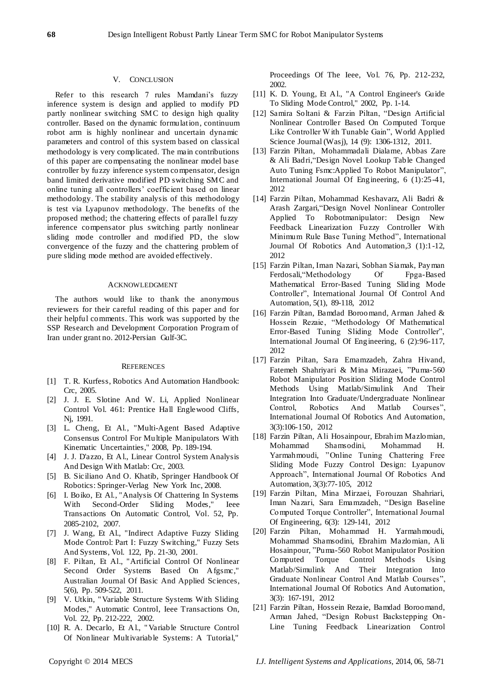#### V. CONCLUSION

Refer to this research 7 rules Mamdani's fuzzy inference system is design and applied to modify PD partly nonlinear switching SMC to design high quality controller. Based on the dynamic formulation, continuum robot arm is highly nonlinear and uncertain dynamic parameters and control of this system based on classical methodology is very complicated. The main contributions of this paper are compensating the nonlinear model base controller by fuzzy inference system compensator, design band limited derivative modified PD switching SMC and online tuning all controllers" coefficient based on linear methodology. The stability analysis of this methodology is test via Lyapunov methodology. The benefits of the proposed method; the chattering effects of parallel fuzzy inference compensator plus switching partly nonlinear sliding mode controller and modified PD, the slow convergence of the fuzzy and the chattering problem of pure sliding mode method are avoided effectively.

#### ACKNOWLEDGMENT

The authors would like to thank the anonymous reviewers for their careful reading of this paper and for their helpful comments. This work was supported by the SSP Research and Development Corporation Program of Iran under grant no. 2012-Persian Gulf-3C.

#### **REFERENCES**

- [1] T. R. Kurfess, Robotics And Automation Handbook: Crc, 2005.
- [2] J. J. E. Slotine And W. Li, Applied Nonlinear Control Vol. 461: Prentice Hall Englewood Cliffs, Nj, 1991.
- [3] L. Cheng, Et Al., "Multi-Agent Based Adaptive Consensus Control For Multiple Manipulators With Kinematic Uncertainties," 2008, Pp. 189-194.
- [4] J. J. D'azzo, Et Al., Linear Control System Analysis And Design With Matlab: Crc, 2003.
- [5] B. Siciliano And O. Khatib, Springer Handbook Of Robotics: Springer-Verlag New York Inc, 2008.
- [6] I. Boiko, Et Al., "Analysis Of Chattering In Systems With Second-Order Sliding Modes," Ieee Transactions On Automatic Control, Vol. 52, Pp. 2085-2102, 2007.
- [7] J. Wang, Et Al., "Indirect Adaptive Fuzzy Sliding Mode Control: Part I: Fuzzy Switching," Fuzzy Sets And Systems, Vol. 122, Pp. 21-30, 2001.
- [8] F. Piltan, Et Al., "Artificial Control Of Nonlinear Second Order Systems Based On Afgsmc," Australian Journal Of Basic And Applied Sciences, 5(6), Pp. 509-522, 2011.
- [9] V. Utkin, " Variable Structure Systems With Sliding Modes," Automatic Control, Ieee Transactions On, Vol. 22, Pp. 212-222, 2002.
- [10] R. A. Decarlo, Et Al., " Variable Structure Control Of Nonlinear Multivariable Systems: A Tutorial,"

Proceedings Of The Ieee, Vol. 76, Pp. 212-232, 2002.

- [11] K. D. Young, Et Al., "A Control Engineer's Guide To Sliding Mode Control," 2002, Pp. 1-14.
- [12] Samira Soltani & Farzin Piltan, "Design Artificial Nonlinear Controller Based On Computed Torque Like Controller W ith Tunable Gain", World Applied Science Journal (Wasj), 14 (9): 1306-1312, 2011.
- [13] Farzin Piltan, Mohammadali Dialame, Abbas Zare & Ali Badri,"Design Novel Lookup Table Changed Auto Tuning Fsmc:Applied To Robot Manipulator", International Journal Of Engineering, 6 (1):25-41, 2012
- [14] Farzin Piltan, Mohammad Keshavarz, Ali Badri & Arash Zargari,"Design Novel Nonlinear Controller Applied To Robotmanipulator: Design New Feedback Linearization Fuzzy Controller With Minimum Rule Base Tuning Method", International Journal Of Robotics And Automation,3 (1):1-12, 2012
- [15] Farzin Piltan, Iman Nazari, Sobhan Siamak, Payman Ferdosali,"Methodology Of Fpga-Based Mathematical Error-Based Tuning Sliding Mode Controller", International Journal Of Control And Automation, 5(1), 89-118, 2012
- [16] Farzin Piltan, Bamdad Boroomand, Arman Jahed & Hossein Rezaie, "Methodology Of Mathematical Error-Based Tuning Sliding Mode Controller", International Journal Of Engineering, 6 (2):96-117, 2012
- [17] Farzin Piltan, Sara Emamzadeh, Zahra Hivand, Fatemeh Shahriyari & Mina Mirazaei, "Puma-560 Robot Manipulator Position Sliding Mode Control Methods Using Matlab/Simulink And Their Integration Into Graduate/Undergraduate Nonlinear Control, Robotics And Matlab Courses", International Journal Of Robotics And Automation, 3(3):106-150, 2012
- [18] Farzin Piltan, Ali Hosainpour, Ebrahim Mazlomian, Mohammad Shamsodini, Mohammad H. Yarmahmoudi, "Online Tuning Chattering Free Sliding Mode Fuzzy Control Design: Lyapunov Approach", International Journal Of Robotics And Automation, 3(3):77-105, 2012
- [19] Farzin Piltan, Mina Mirzaei, Forouzan Shahriari, Iman Nazari, Sara Emamzadeh, "Design Baseline Computed Torque Controller", International Journal Of Engineering, 6(3): 129-141, 2012
- [20] Farzin Piltan, Mohammad H. Yarmahmoudi, Mohammad Shamsodini, Ebrahim Mazlomian, Ali Hosainpour, "Puma-560 Robot Manipulator Position Computed Torque Control Methods Using Matlab/Simulink And Their Integration Into Graduate Nonlinear Control And Matlab Courses", International Journal Of Robotics And Automation, 3(3): 167-191, 2012
- [21] Farzin Piltan, Hossein Rezaie, Bamdad Boroomand, Arman Jahed, "Design Robust Backstepping On-Line Tuning Feedback Linearization Control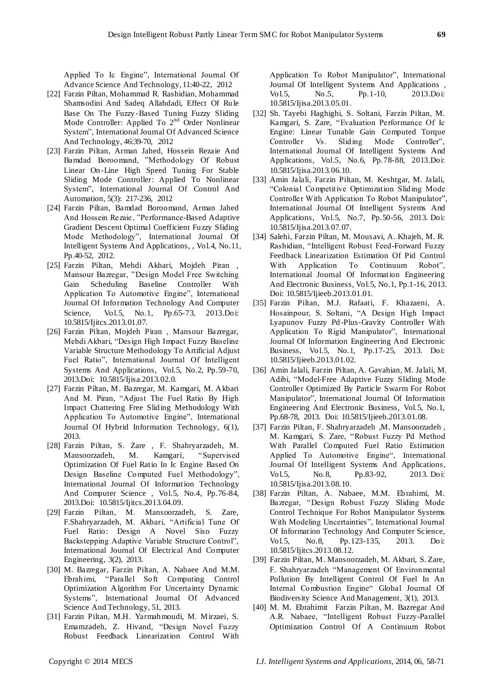Applied To Ic Engine", International Journal Of Advance Science And Technology, 11:40-22, 2012

- [22] Farzin Piltan, Mohammad R. Rashidian, Mohammad Shamsodini And Sadeq Allahdadi, Effect Of Rule Base On The Fuzzy -Based Tuning Fuzzy Sliding Mode Controller: Applied To  $2<sup>nd</sup>$  Order Nonlinear System", International Journal Of Advanced Science And Technology, 46:39-70, 2012
- [23] Farzin Piltan, Arman Jahed, Hossein Rezaie And Bamdad Boroomand, "Methodology Of Robust Linear On -Line High Speed Tuning For Stable Sliding Mode Controller: Applied To Nonlinear System", International Journal Of Control And Automation, 5(3): 217-236, 2012
- [24] Farzin Piltan, Bamdad Boroomand, Arman Jahed And Hossein Rezaie, "Performance-Based Adaptive Gradient Descent Optimal Coefficient Fuzzy Sliding Mode Methodology", International Journal Of Intelligent Systems And Applications, , Vol.4, No.11, Pp.40-52, 2012.
- [25] Farzin Piltan, Mehdi Akbari, Mojdeh Piran , Mansour Bazregar, "Design Model Free Switching Gain Scheduling Baseline Controller With Application To Automotive Engine", International Journal Of Information Technology And Computer Science, Vol.5, No.1, Pp.65-73, 2013.Doi: 10.5815/Ijitcs.2013.01.07.
- [26] Farzin Piltan, Mojdeh Piran , Mansour Bazregar, Mehdi Akbari, "Design High Impact Fuzzy Baseline Variable Structure Methodology To Artificial Adjust Fuel Ratio", International Journal Of Intelligent Systems And Applications, Vol.5, No.2, Pp.59-70, 2013.Doi: 10.5815/Ijisa.2013.02.0.
- [27] Farzin Piltan, M. Bazregar, M. Kamgari, M. Akbari And M. Piran, "Adjust The Fuel Ratio By High Impact Chattering Free Sliding Methodology With Application To Automotive Engine", International Journal Of Hybrid Information Technology, 6(1), 2013.
- [28] Farzin Piltan, S. Zare , F. Shahryarzadeh, M. Mansoorzadeh, M. Kamgari, "Supervised Optimization Of Fuel Ratio In Ic Engine Based On Design Baseline Computed Fuel Methodology", International Journal Of Information Technology And Computer Science , Vol.5, No.4, Pp.76-84, 2013.Doi: 10.5815/Ijitcs.2013.04.09.
- [29] Farzin Piltan, M. Mansoorzadeh, S. Zare, F.Shahryarzadeh, M. Akbari, "Artificial Tune Of Fuel Ratio: Design A Novel Siso Fuzzy Backstepping Adaptive Variable Structure Control", International Journal Of Electrical And Computer Engineering, 3(2), 2013.
- [30] M. Bazregar, Farzin Piltan, A. Nabaee And M.M. Ebrahimi, "Parallel So ft Computing Control Optimization Algorithm For Uncertainty Dynamic Systems", International Journal Of Advanced Science And Technology, 51, 2013.
- [31] Farzin Piltan, M.H. Yarmahmoudi, M. Mirzaei, S. Emamzadeh, Z. Hivand, "Design Novel Fuzzy Robust Feedback Linearization Control With

Application To Robot Manipulator", International Journal Of Intelligent Systems And Applications , Vol.5, No.5, Pp.1-10, 2013.Doi: 10.5815/Ijisa.2013.05.01.

- [32] Sh. Tayebi Haghighi, S. Soltani, Farzin Piltan, M. Kamgari, S. Zare, "Evaluation Performance Of Ic Engine: Linear Tunable Gain Computed Torque Controller Vs. Sliding Mode Controller", International Journal Of Intelligent Systems And Applications, Vol.5, No.6, Pp.78-88, 2013.Doi: 10.5815/Ijisa.2013.06.10.
- [33] Amin Jalali, Farzin Piltan, M. Keshtgar, M. Jalali, "Colonial Competitive Optimization Sliding Mode Controller With Application To Robot Manipulator", International Journal Of Intelligent Systems And Applications, Vol.5, No.7, Pp.50-56, 2013. Doi: 10.5815/Ijisa.2013.07.07.
- [34] Salehi, Farzin Piltan, M. Mousavi, A. Khajeh, M. R. Rashidian, "Intelligent Robust Feed-Forward Fuzzy Feedback Linearization Estimation Of Pid Control With Application To Continuum Robot", International Journal Of Information Engineering And Electronic Business, Vol.5, No.1, Pp.1-16, 2013. Doi: 10.5815/Ijieeb.2013.01.01.
- [35] Farzin Piltan, M.J. Rafaati, F. Khazaeni, A. Hosainpour, S. Soltani, "A Design High Impact Lyapunov Fuzzy Pd -Plus-Gravity Controller With Application To Rigid Manipulator", International Journal Of Information Engineering And Electronic Business, Vol.5, No.1, Pp.17-25, 2013. Doi: 10.5815/Ijieeb.2013.01.02.
- [36] Amin Jalali, Farzin Piltan, A. Gavahian, M. Jalali, M. Adibi, "Model-Free Adaptive Fuzzy Sliding Mode Controller Optimized By Particle Swarm For Robot Manipulator", International Journal Of Information Engineering And Electronic Business, Vol.5, No.1, Pp.68-78, 2013. Doi: 10.5815/Ijieeb.2013.01.08.
- [37] Farzin Piltan, F. Shahryarzadeh ,M. Mansoorzadeh , M. Kamgari, S. Zare, "Robust Fuzzy Pd Method With Parallel Computed Fuel Ratio Estimation Applied To Automotive Engine", International Journal Of Intelligent Systems And Applications, Vol.5, No.8, Pp.83-92, 2013. Doi: 10.5815/Ijisa.2013.08.10.
- [38] Farzin Piltan, A. Nabaee, M.M. Ebrahimi, M. Bazregar, "Design Robust Fuzzy Sliding Mode Control Technique For Robot Manipulator Systems With Modeling Uncertainties", International Journal Of Information Technology And Computer Science, Vol.5, No.8, Pp.123-135, 2013. Doi: 10.5815/Ijitcs.2013.08.12.
- [39] Farzin Piltan, M. Mansoorzadeh, M. Akbari, S. Zare, F. Shahryarzadeh "Management Of Environmental Pollution By Intelligent Control Of Fuel In An Internal Combustion Engine" Global Journal Of Biodiversity Science And Management, 3(1), 2013.
- [40] M. M. Ebrahimit Farzin Piltan, M. Bazregar And A.R. Nabaee, "Intelligent Robust Fuzzy-Parallel Optimization Control Of A Continuum Robot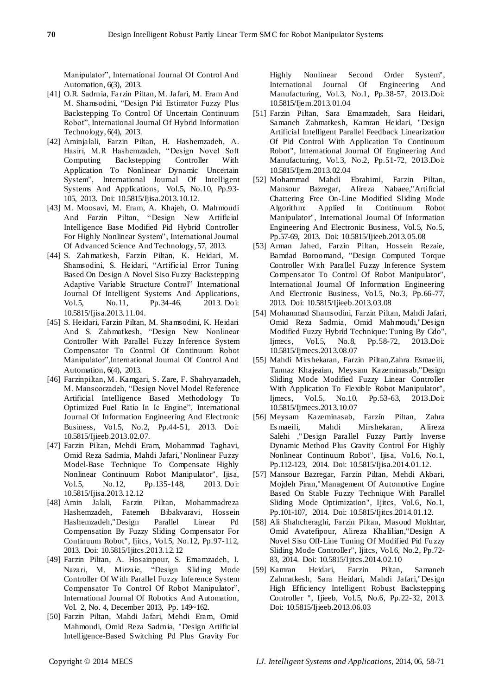Manipulator", International Journal Of Control And Automation, 6(3), 2013.

- [41] O.R. Sadrnia, Farzin Piltan, M. Jafari, M. Eram And M. Shamsodini, "Design Pid Estimator Fuzzy Plus Backstepping To Control Of Uncertain Continuum Robot", International Journal Of Hybrid Information Technology, 6(4), 2013.
- [42] Aminjalali, Farzin Piltan, H. Hashemzadeh, A. Hasiri, M.R Hashemzadeh, "Design Novel Soft Computing Backstepping Controller With Application To Nonlinear Dynamic Uncertain System", International Journal Of Intelligent Systems And Applications, Vol.5, No.10, Pp.93- 105, 2013. Doi: 10.5815/Ijisa.2013.10.12.
- [43] M. Moosavi, M. Eram, A. Khajeh, O. Mahmoudi And Farzin Piltan, "Design New Artificial Intelligence Base Modified Pid Hybrid Controller For Highly Nonlinear System", International Journal Of Advanced Science And Technology, 57, 2013.
- [44] S. Zahmatkesh, Farzin Piltan, K. Heidari, M. Shamsodini, S. Heidari, "Artificial Error Tuning Based On Design A Novel Siso Fuzzy Backstepping Adaptive Variable Structure Control" International Journal Of Intelligent Systems And Applications, Vol.5, No.11, Pp.34-46, 2013. Doi: 10.5815/Ijisa.2013.11.04.
- [45] S. Heidari, Farzin Piltan, M. Shamsodini, K. Heidari And S. Zahmatkesh, "Design New Nonlinear Controller With Parallel Fuzzy Inference System Compensator To Control Of Continuum Robot Manipulator",International Journal Of Control And Automation, 6(4), 2013.
- [46] Farzinpiltan, M. Kamgari, S. Zare, F. Shahryarzadeh, M. Mansoorzadeh, "Design Novel Model Reference Artificial Intelligence Based Methodology To Optimized Fuel Ratio In Ic Engine", International Journal Of Information Engineering And Electronic Business, Vol.5, No.2, Pp.44-51, 2013. Doi: 10.5815/Ijieeb.2013.02.07.
- [47] Farzin Piltan, Mehdi Eram, Mohammad Taghavi, Omid Reza Sadrnia, Mahdi Jafari," Nonlinear Fuzzy Model-Base Technique To Compensate Highly Nonlinear Continuum Robot Manipulator", Ijisa, Vol.5, No.12, Pp.135-148, 2013. Doi: 10.5815/Ijisa.2013.12.12
- [48] Amin Jalali, Farzin Piltan, Mohammadreza Hashemzadeh, Fatemeh Bibakvaravi, Hossein Hashemzadeh,"Design Parallel Linear Pd Compensation By Fuzzy Sliding Compensator For Continuum Robot", Ijitcs, Vol.5, No.12, Pp.97-112, 2013. Doi: 10.5815/Ijitcs.2013.12.12
- [49] Farzin Piltan, A. Hosainpour, S. Emamzadeh, I. Nazari, M. Mirzaie, "Design Sliding Mode Controller Of W ith Parallel Fuzzy Inference System Compensator To Control Of Robot Manipulator", International Journal Of Robotics And Automation, Vol. 2, No. 4, December 2013, Pp. 149~162.
- [50] Farzin Piltan, Mahdi Jafari, Mehdi Eram, Omid Mahmoudi, Omid Reza Sadrnia, "Design Artificial Intelligence-Based Switching Pd Plus Gravity For

Highly Nonlinear Second Order System", International Journal Of Engineering And Manufacturing, Vol.3, No.1, Pp.38-57, 2013.Doi: 10.5815/Ijem.2013.01.04

- [51] Farzin Piltan, Sara Emamzadeh, Sara Heidari, Samaneh Zahmatkesh, Kamran Heidari, "Design Artificial Intelligent Parallel Feedback Linearization Of Pid Control With Application To Continuum Robot", International Journal Of Engineering And Manufacturing, Vol.3, No.2, Pp.51-72, 2013.Doi: 10.5815/Ijem.2013.02.04
- [52] Mohammad Mahdi Ebrahimi, Farzin Piltan, Mansour Bazregar, Alireza Nabaee,"Artificial Chattering Free On-Line Modified Sliding Mode Algorithm: Applied In Continuum Robot Manipulator", International Journal Of Information Engineering And Electronic Business, Vol.5, No.5, Pp.57-69, 2013. Doi: 10.5815/Ijieeb.2013.05.08
- [53] Arman Jahed, Farzin Piltan, Hossein Rezaie, Bamdad Boroomand, "Design Computed Torque Controller With Parallel Fuzzy Inference System Compensator To Control Of Robot Manipulator", International Journal Of Information Engineering And Electronic Business, Vol.5, No.3, Pp.66-77, 2013. Doi: 10.5815/Ijieeb.2013.03.08
- [54] Mohammad Shamsodini, Farzin Piltan, Mahdi Jafari, Omid Reza Sadrnia, Omid Mahmoudi,"Design Modified Fuzzy Hybrid Technique: Tuning By Gdo", Ijmecs, Vol.5, No.8, Pp.58-72, 2013.Doi: 10.5815/Ijmecs.2013.08.07
- [55] Mahdi Mirshekaran, Farzin Piltan,Zahra Esmaeili, Tannaz Khajeaian, Meysam Kazeminasab,"Design Sliding Mode Modified Fuzzy Linear Controller With Application To Flexible Robot Manipulator", Ijmecs, Vol.5, No.10, Pp.53-63, 2013.Doi: 10.5815/Ijmecs.2013.10.07
- [56] Meysam Kazeminasab, Farzin Piltan, Zahra Es maeili, Mahdi Mirshekaran, Alireza Salehi ," Design Parallel Fuzzy Partly Inverse Dynamic Method Plus Gravity Control For Highly Nonlinear Continuum Robot", Ijisa, Vol.6, No.1, Pp.112-123, 2014. Doi: 10.5815/Ijisa.2014.01.12.
- [57] Mansour Bazregar, Farzin Piltan, Mehdi Akbari, Mojdeh Piran,"Management Of Automotive Engine Based On Stable Fuzzy Technique With Parallel Sliding Mode Optimization", Ijitcs, Vol.6, No.1, Pp.101-107, 2014. Doi: 10.5815/Ijitcs.2014.01.12.
- [58] Ali Shahcheraghi, Farzin Piltan, Masoud Mokhtar, Omid Avatefipour, Alireza Khalilian,"Design A Novel Siso Off-Line Tuning Of Modified Pid Fuzzy Sliding Mode Controller", Ijitcs, Vol.6, No.2, Pp.72- 83, 2014. Doi: 10.5815/Ijitcs.2014.02.10
- [59] Kamran Heidari, Farzin Piltan, Samaneh Zahmatkesh, Sara Heidari, Mahdi Jafari,"Design High Efficiency Intelligent Robust Backstepping Controller ", Ijieeb, Vol.5, No.6, Pp.22-32, 2013. Doi: 10.5815/Ijieeb.2013.06.03